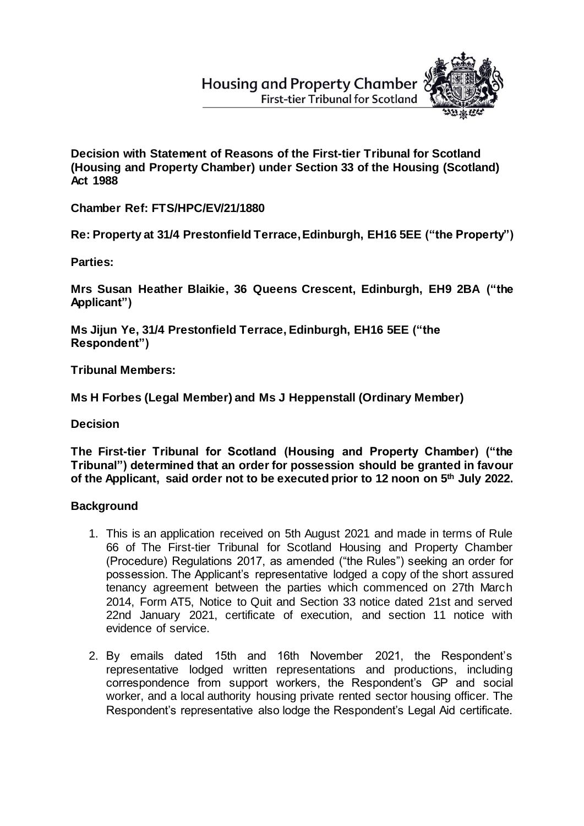**Housing and Property Chamber First-tier Tribunal for Scotland** 



**Decision with Statement of Reasons of the First-tier Tribunal for Scotland (Housing and Property Chamber) under Section 33 of the Housing (Scotland) Act 1988**

**Chamber Ref: FTS/HPC/EV/21/1880**

**Re: Property at 31/4 Prestonfield Terrace, Edinburgh, EH16 5EE ("the Property")**

**Parties:**

**Mrs Susan Heather Blaikie, 36 Queens Crescent, Edinburgh, EH9 2BA ("the Applicant")**

**Ms Jijun Ye, 31/4 Prestonfield Terrace, Edinburgh, EH16 5EE ("the Respondent")** 

**Tribunal Members:**

**Ms H Forbes (Legal Member) and Ms J Heppenstall (Ordinary Member)**

**Decision**

**The First-tier Tribunal for Scotland (Housing and Property Chamber) ("the Tribunal") determined that an order for possession should be granted in favour of the Applicant, said order not to be executed prior to 12 noon on 5th July 2022.**

# **Background**

- 1. This is an application received on 5th August 2021 and made in terms of Rule 66 of The First-tier Tribunal for Scotland Housing and Property Chamber (Procedure) Regulations 2017, as amended ("the Rules") seeking an order for possession. The Applicant's representative lodged a copy of the short assured tenancy agreement between the parties which commenced on 27th March 2014, Form AT5, Notice to Quit and Section 33 notice dated 21st and served 22nd January 2021, certificate of execution, and section 11 notice with evidence of service.
- 2. By emails dated 15th and 16th November 2021, the Respondent's representative lodged written representations and productions, including correspondence from support workers, the Respondent's GP and social worker, and a local authority housing private rented sector housing officer. The Respondent's representative also lodge the Respondent's Legal Aid certificate.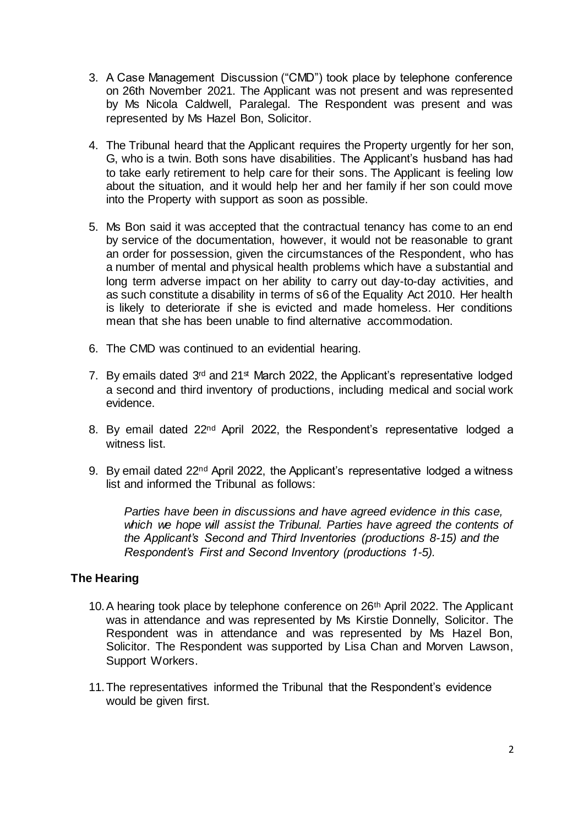- 3. A Case Management Discussion ("CMD") took place by telephone conference on 26th November 2021. The Applicant was not present and was represented by Ms Nicola Caldwell, Paralegal. The Respondent was present and was represented by Ms Hazel Bon, Solicitor.
- 4. The Tribunal heard that the Applicant requires the Property urgently for her son, G, who is a twin. Both sons have disabilities. The Applicant's husband has had to take early retirement to help care for their sons. The Applicant is feeling low about the situation, and it would help her and her family if her son could move into the Property with support as soon as possible.
- 5. Ms Bon said it was accepted that the contractual tenancy has come to an end by service of the documentation, however, it would not be reasonable to grant an order for possession, given the circumstances of the Respondent, who has a number of mental and physical health problems which have a substantial and long term adverse impact on her ability to carry out day-to-day activities, and as such constitute a disability in terms of s6 of the Equality Act 2010. Her health is likely to deteriorate if she is evicted and made homeless. Her conditions mean that she has been unable to find alternative accommodation.
- 6. The CMD was continued to an evidential hearing.
- 7. By emails dated  $3<sup>rd</sup>$  and  $21<sup>st</sup>$  March 2022, the Applicant's representative lodged a second and third inventory of productions, including medical and social work evidence.
- 8. By email dated 22<sup>nd</sup> April 2022, the Respondent's representative lodged a witness list.
- 9. By email dated 22nd April 2022, the Applicant's representative lodged a witness list and informed the Tribunal as follows:

*Parties have been in discussions and have agreed evidence in this case, which we hope will assist the Tribunal. Parties have agreed the contents of the Applicant's Second and Third Inventories (productions 8-15) and the Respondent's First and Second Inventory (productions 1-5).*

# **The Hearing**

- 10. A hearing took place by telephone conference on 26<sup>th</sup> April 2022. The Applicant was in attendance and was represented by Ms Kirstie Donnelly, Solicitor. The Respondent was in attendance and was represented by Ms Hazel Bon, Solicitor. The Respondent was supported by Lisa Chan and Morven Lawson, Support Workers.
- 11.The representatives informed the Tribunal that the Respondent's evidence would be given first.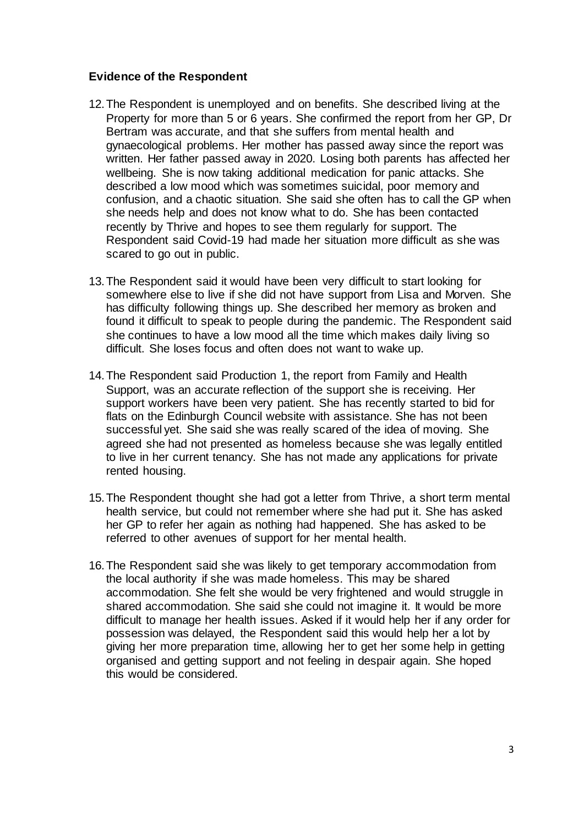# **Evidence of the Respondent**

- 12.The Respondent is unemployed and on benefits. She described living at the Property for more than 5 or 6 years. She confirmed the report from her GP, Dr Bertram was accurate, and that she suffers from mental health and gynaecological problems. Her mother has passed away since the report was written. Her father passed away in 2020. Losing both parents has affected her wellbeing. She is now taking additional medication for panic attacks. She described a low mood which was sometimes suicidal, poor memory and confusion, and a chaotic situation. She said she often has to call the GP when she needs help and does not know what to do. She has been contacted recently by Thrive and hopes to see them regularly for support. The Respondent said Covid-19 had made her situation more difficult as she was scared to go out in public.
- 13.The Respondent said it would have been very difficult to start looking for somewhere else to live if she did not have support from Lisa and Morven. She has difficulty following things up. She described her memory as broken and found it difficult to speak to people during the pandemic. The Respondent said she continues to have a low mood all the time which makes daily living so difficult. She loses focus and often does not want to wake up.
- 14.The Respondent said Production 1, the report from Family and Health Support, was an accurate reflection of the support she is receiving. Her support workers have been very patient. She has recently started to bid for flats on the Edinburgh Council website with assistance. She has not been successful yet. She said she was really scared of the idea of moving. She agreed she had not presented as homeless because she was legally entitled to live in her current tenancy. She has not made any applications for private rented housing.
- 15.The Respondent thought she had got a letter from Thrive, a short term mental health service, but could not remember where she had put it. She has asked her GP to refer her again as nothing had happened. She has asked to be referred to other avenues of support for her mental health.
- 16.The Respondent said she was likely to get temporary accommodation from the local authority if she was made homeless. This may be shared accommodation. She felt she would be very frightened and would struggle in shared accommodation. She said she could not imagine it. It would be more difficult to manage her health issues. Asked if it would help her if any order for possession was delayed, the Respondent said this would help her a lot by giving her more preparation time, allowing her to get her some help in getting organised and getting support and not feeling in despair again. She hoped this would be considered.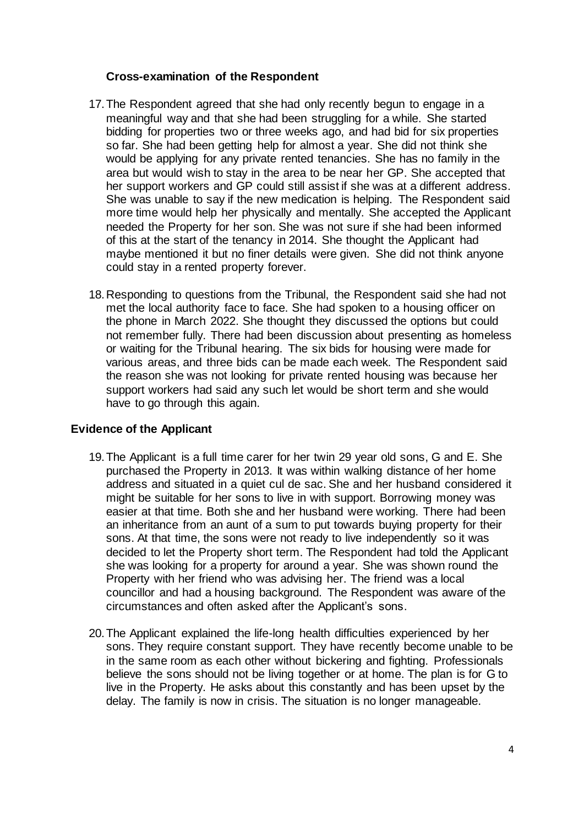# **Cross-examination of the Respondent**

- 17.The Respondent agreed that she had only recently begun to engage in a meaningful way and that she had been struggling for a while. She started bidding for properties two or three weeks ago, and had bid for six properties so far. She had been getting help for almost a year. She did not think she would be applying for any private rented tenancies. She has no family in the area but would wish to stay in the area to be near her GP. She accepted that her support workers and GP could still assist if she was at a different address. She was unable to say if the new medication is helping. The Respondent said more time would help her physically and mentally. She accepted the Applicant needed the Property for her son. She was not sure if she had been informed of this at the start of the tenancy in 2014. She thought the Applicant had maybe mentioned it but no finer details were given. She did not think anyone could stay in a rented property forever.
- 18.Responding to questions from the Tribunal, the Respondent said she had not met the local authority face to face. She had spoken to a housing officer on the phone in March 2022. She thought they discussed the options but could not remember fully. There had been discussion about presenting as homeless or waiting for the Tribunal hearing. The six bids for housing were made for various areas, and three bids can be made each week. The Respondent said the reason she was not looking for private rented housing was because her support workers had said any such let would be short term and she would have to go through this again.

# **Evidence of the Applicant**

- 19.The Applicant is a full time carer for her twin 29 year old sons, G and E. She purchased the Property in 2013. It was within walking distance of her home address and situated in a quiet cul de sac. She and her husband considered it might be suitable for her sons to live in with support. Borrowing money was easier at that time. Both she and her husband were working. There had been an inheritance from an aunt of a sum to put towards buying property for their sons. At that time, the sons were not ready to live independently so it was decided to let the Property short term. The Respondent had told the Applicant she was looking for a property for around a year. She was shown round the Property with her friend who was advising her. The friend was a local councillor and had a housing background. The Respondent was aware of the circumstances and often asked after the Applicant's sons.
- 20.The Applicant explained the life-long health difficulties experienced by her sons. They require constant support. They have recently become unable to be in the same room as each other without bickering and fighting. Professionals believe the sons should not be living together or at home. The plan is for G to live in the Property. He asks about this constantly and has been upset by the delay. The family is now in crisis. The situation is no longer manageable.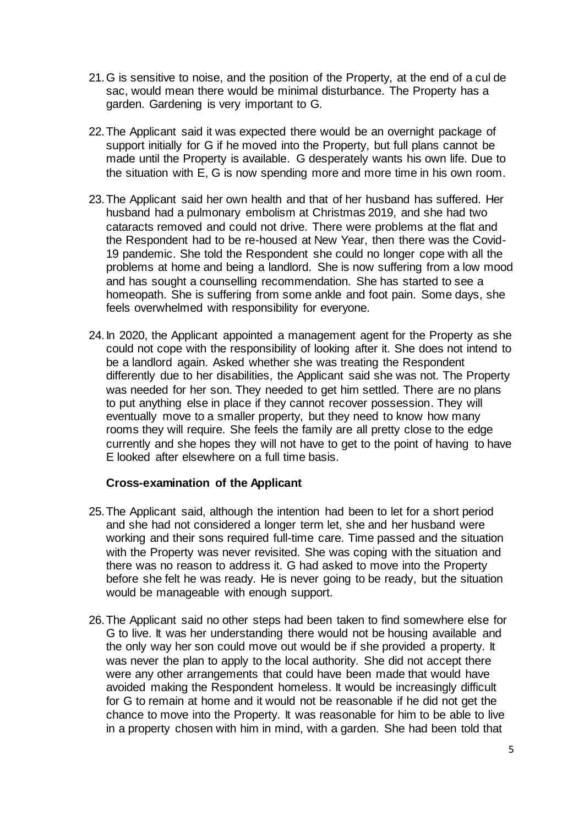- 21.G is sensitive to noise, and the position of the Property, at the end of a cul de sac, would mean there would be minimal disturbance. The Property has a garden. Gardening is very important to G.
- 22.The Applicant said it was expected there would be an overnight package of support initially for G if he moved into the Property, but full plans cannot be made until the Property is available. G desperately wants his own life. Due to the situation with E, G is now spending more and more time in his own room.
- 23.The Applicant said her own health and that of her husband has suffered. Her husband had a pulmonary embolism at Christmas 2019, and she had two cataracts removed and could not drive. There were problems at the flat and the Respondent had to be re-housed at New Year, then there was the Covid-19 pandemic. She told the Respondent she could no longer cope with all the problems at home and being a landlord. She is now suffering from a low mood and has sought a counselling recommendation. She has started to see a homeopath. She is suffering from some ankle and foot pain. Some days, she feels overwhelmed with responsibility for everyone.
- 24.In 2020, the Applicant appointed a management agent for the Property as she could not cope with the responsibility of looking after it. She does not intend to be a landlord again. Asked whether she was treating the Respondent differently due to her disabilities, the Applicant said she was not. The Property was needed for her son. They needed to get him settled. There are no plans to put anything else in place if they cannot recover possession. They will eventually move to a smaller property, but they need to know how many rooms they will require. She feels the family are all pretty close to the edge currently and she hopes they will not have to get to the point of having to have E looked after elsewhere on a full time basis.

# **Cross-examination of the Applicant**

- 25.The Applicant said, although the intention had been to let for a short period and she had not considered a longer term let, she and her husband were working and their sons required full-time care. Time passed and the situation with the Property was never revisited. She was coping with the situation and there was no reason to address it. G had asked to move into the Property before she felt he was ready. He is never going to be ready, but the situation would be manageable with enough support.
- 26.The Applicant said no other steps had been taken to find somewhere else for G to live. It was her understanding there would not be housing available and the only way her son could move out would be if she provided a property. It was never the plan to apply to the local authority. She did not accept there were any other arrangements that could have been made that would have avoided making the Respondent homeless. It would be increasingly difficult for G to remain at home and it would not be reasonable if he did not get the chance to move into the Property. It was reasonable for him to be able to live in a property chosen with him in mind, with a garden. She had been told that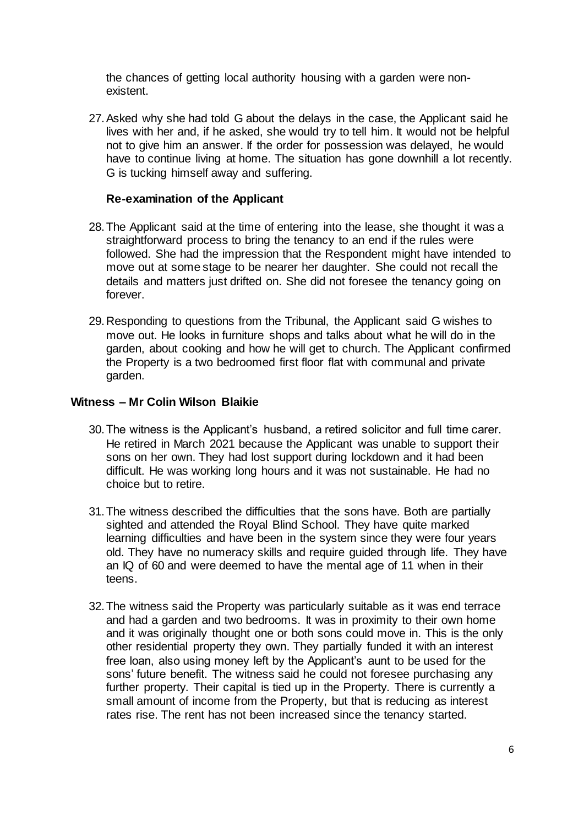the chances of getting local authority housing with a garden were nonexistent.

27.Asked why she had told G about the delays in the case, the Applicant said he lives with her and, if he asked, she would try to tell him. It would not be helpful not to give him an answer. If the order for possession was delayed, he would have to continue living at home. The situation has gone downhill a lot recently. G is tucking himself away and suffering.

## **Re-examination of the Applicant**

- 28.The Applicant said at the time of entering into the lease, she thought it was a straightforward process to bring the tenancy to an end if the rules were followed. She had the impression that the Respondent might have intended to move out at some stage to be nearer her daughter. She could not recall the details and matters just drifted on. She did not foresee the tenancy going on forever.
- 29.Responding to questions from the Tribunal, the Applicant said G wishes to move out. He looks in furniture shops and talks about what he will do in the garden, about cooking and how he will get to church. The Applicant confirmed the Property is a two bedroomed first floor flat with communal and private garden.

#### **Witness – Mr Colin Wilson Blaikie**

- 30.The witness is the Applicant's husband, a retired solicitor and full time carer. He retired in March 2021 because the Applicant was unable to support their sons on her own. They had lost support during lockdown and it had been difficult. He was working long hours and it was not sustainable. He had no choice but to retire.
- 31.The witness described the difficulties that the sons have. Both are partially sighted and attended the Royal Blind School. They have quite marked learning difficulties and have been in the system since they were four years old. They have no numeracy skills and require guided through life. They have an IQ of 60 and were deemed to have the mental age of 11 when in their teens.
- 32.The witness said the Property was particularly suitable as it was end terrace and had a garden and two bedrooms. It was in proximity to their own home and it was originally thought one or both sons could move in. This is the only other residential property they own. They partially funded it with an interest free loan, also using money left by the Applicant's aunt to be used for the sons' future benefit. The witness said he could not foresee purchasing any further property. Their capital is tied up in the Property. There is currently a small amount of income from the Property, but that is reducing as interest rates rise. The rent has not been increased since the tenancy started.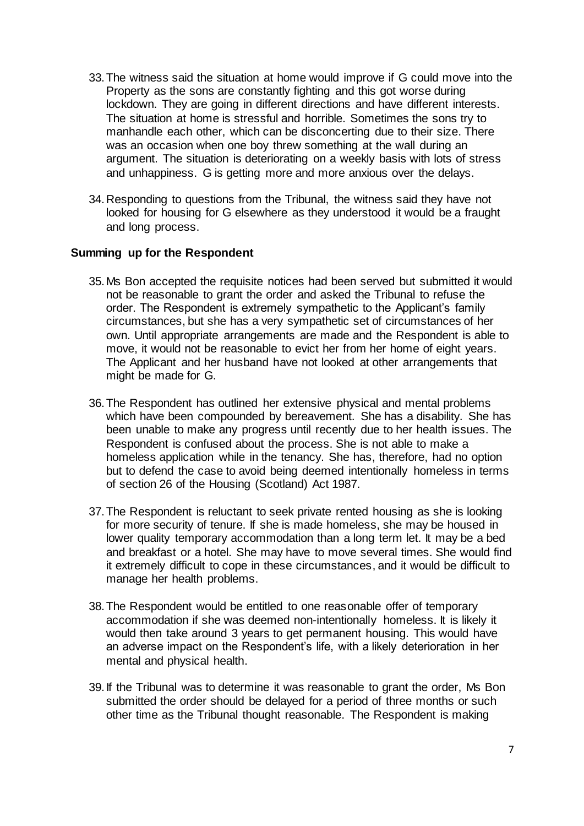- 33.The witness said the situation at home would improve if G could move into the Property as the sons are constantly fighting and this got worse during lockdown. They are going in different directions and have different interests. The situation at home is stressful and horrible. Sometimes the sons try to manhandle each other, which can be disconcerting due to their size. There was an occasion when one boy threw something at the wall during an argument. The situation is deteriorating on a weekly basis with lots of stress and unhappiness. G is getting more and more anxious over the delays.
- 34.Responding to questions from the Tribunal, the witness said they have not looked for housing for G elsewhere as they understood it would be a fraught and long process.

#### **Summing up for the Respondent**

- 35.Ms Bon accepted the requisite notices had been served but submitted it would not be reasonable to grant the order and asked the Tribunal to refuse the order. The Respondent is extremely sympathetic to the Applicant's family circumstances, but she has a very sympathetic set of circumstances of her own. Until appropriate arrangements are made and the Respondent is able to move, it would not be reasonable to evict her from her home of eight years. The Applicant and her husband have not looked at other arrangements that might be made for G.
- 36.The Respondent has outlined her extensive physical and mental problems which have been compounded by bereavement. She has a disability. She has been unable to make any progress until recently due to her health issues. The Respondent is confused about the process. She is not able to make a homeless application while in the tenancy. She has, therefore, had no option but to defend the case to avoid being deemed intentionally homeless in terms of section 26 of the Housing (Scotland) Act 1987.
- 37.The Respondent is reluctant to seek private rented housing as she is looking for more security of tenure. If she is made homeless, she may be housed in lower quality temporary accommodation than a long term let. It may be a bed and breakfast or a hotel. She may have to move several times. She would find it extremely difficult to cope in these circumstances, and it would be difficult to manage her health problems.
- 38.The Respondent would be entitled to one reasonable offer of temporary accommodation if she was deemed non-intentionally homeless. It is likely it would then take around 3 years to get permanent housing. This would have an adverse impact on the Respondent's life, with a likely deterioration in her mental and physical health.
- 39.If the Tribunal was to determine it was reasonable to grant the order, Ms Bon submitted the order should be delayed for a period of three months or such other time as the Tribunal thought reasonable. The Respondent is making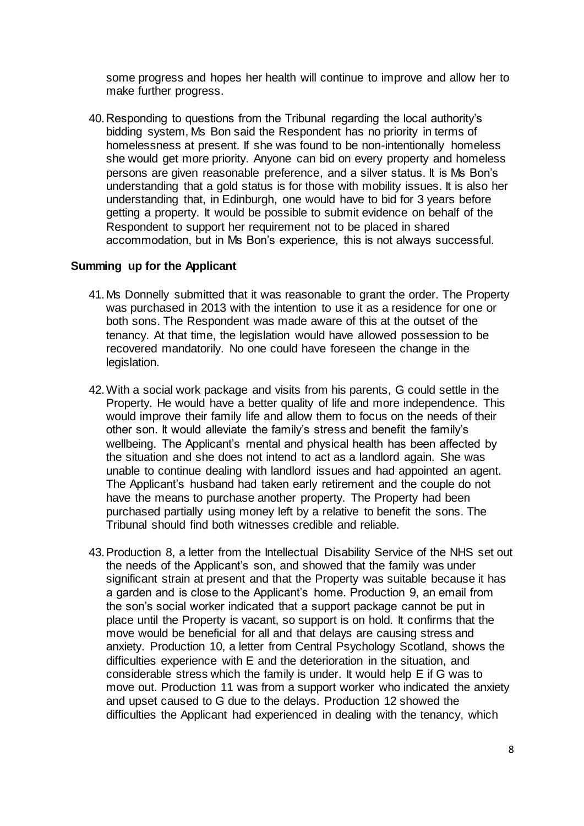some progress and hopes her health will continue to improve and allow her to make further progress.

40.Responding to questions from the Tribunal regarding the local authority's bidding system, Ms Bon said the Respondent has no priority in terms of homelessness at present. If she was found to be non-intentionally homeless she would get more priority. Anyone can bid on every property and homeless persons are given reasonable preference, and a silver status. It is Ms Bon's understanding that a gold status is for those with mobility issues. It is also her understanding that, in Edinburgh, one would have to bid for 3 years before getting a property. It would be possible to submit evidence on behalf of the Respondent to support her requirement not to be placed in shared accommodation, but in Ms Bon's experience, this is not always successful.

#### **Summing up for the Applicant**

- 41.Ms Donnelly submitted that it was reasonable to grant the order. The Property was purchased in 2013 with the intention to use it as a residence for one or both sons. The Respondent was made aware of this at the outset of the tenancy. At that time, the legislation would have allowed possession to be recovered mandatorily. No one could have foreseen the change in the legislation.
- 42.With a social work package and visits from his parents, G could settle in the Property. He would have a better quality of life and more independence. This would improve their family life and allow them to focus on the needs of their other son. It would alleviate the family's stress and benefit the family's wellbeing. The Applicant's mental and physical health has been affected by the situation and she does not intend to act as a landlord again. She was unable to continue dealing with landlord issues and had appointed an agent. The Applicant's husband had taken early retirement and the couple do not have the means to purchase another property. The Property had been purchased partially using money left by a relative to benefit the sons. The Tribunal should find both witnesses credible and reliable.
- 43.Production 8, a letter from the Intellectual Disability Service of the NHS set out the needs of the Applicant's son, and showed that the family was under significant strain at present and that the Property was suitable because it has a garden and is close to the Applicant's home. Production 9, an email from the son's social worker indicated that a support package cannot be put in place until the Property is vacant, so support is on hold. It confirms that the move would be beneficial for all and that delays are causing stress and anxiety. Production 10, a letter from Central Psychology Scotland, shows the difficulties experience with E and the deterioration in the situation, and considerable stress which the family is under. It would help E if G was to move out. Production 11 was from a support worker who indicated the anxiety and upset caused to G due to the delays. Production 12 showed the difficulties the Applicant had experienced in dealing with the tenancy, which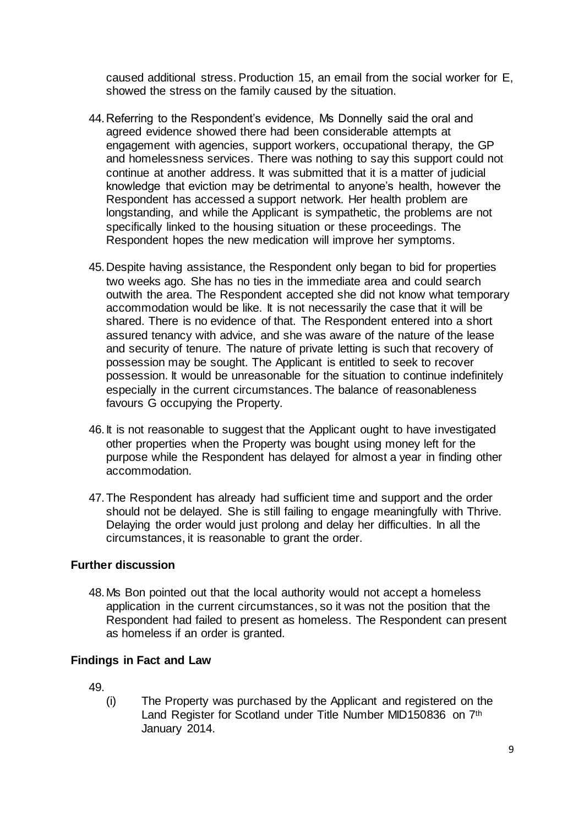caused additional stress. Production 15, an email from the social worker for E, showed the stress on the family caused by the situation.

- 44.Referring to the Respondent's evidence, Ms Donnelly said the oral and agreed evidence showed there had been considerable attempts at engagement with agencies, support workers, occupational therapy, the GP and homelessness services. There was nothing to say this support could not continue at another address. It was submitted that it is a matter of judicial knowledge that eviction may be detrimental to anyone's health, however the Respondent has accessed a support network. Her health problem are longstanding, and while the Applicant is sympathetic, the problems are not specifically linked to the housing situation or these proceedings. The Respondent hopes the new medication will improve her symptoms.
- 45.Despite having assistance, the Respondent only began to bid for properties two weeks ago. She has no ties in the immediate area and could search outwith the area. The Respondent accepted she did not know what temporary accommodation would be like. It is not necessarily the case that it will be shared. There is no evidence of that. The Respondent entered into a short assured tenancy with advice, and she was aware of the nature of the lease and security of tenure. The nature of private letting is such that recovery of possession may be sought. The Applicant is entitled to seek to recover possession. It would be unreasonable for the situation to continue indefinitely especially in the current circumstances. The balance of reasonableness favours G occupying the Property.
- 46.It is not reasonable to suggest that the Applicant ought to have investigated other properties when the Property was bought using money left for the purpose while the Respondent has delayed for almost a year in finding other accommodation.
- 47.The Respondent has already had sufficient time and support and the order should not be delayed. She is still failing to engage meaningfully with Thrive. Delaying the order would just prolong and delay her difficulties. In all the circumstances, it is reasonable to grant the order.

# **Further discussion**

48.Ms Bon pointed out that the local authority would not accept a homeless application in the current circumstances, so it was not the position that the Respondent had failed to present as homeless. The Respondent can present as homeless if an order is granted.

# **Findings in Fact and Law**

49.

(i) The Property was purchased by the Applicant and registered on the Land Register for Scotland under Title Number MID150836 on 7<sup>th</sup> January 2014.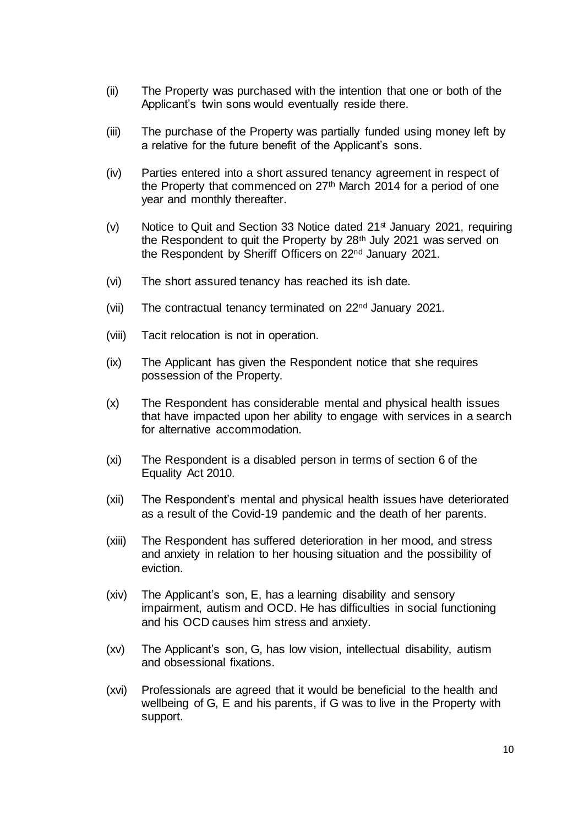- (ii) The Property was purchased with the intention that one or both of the Applicant's twin sons would eventually reside there.
- (iii) The purchase of the Property was partially funded using money left by a relative for the future benefit of the Applicant's sons.
- (iv) Parties entered into a short assured tenancy agreement in respect of the Property that commenced on 27<sup>th</sup> March 2014 for a period of one year and monthly thereafter.
- (v) Notice to Quit and Section 33 Notice dated  $21<sup>st</sup>$  January 2021, requiring the Respondent to quit the Property by 28<sup>th</sup> July 2021 was served on the Respondent by Sheriff Officers on 22<sup>nd</sup> January 2021.
- (vi) The short assured tenancy has reached its ish date.
- (vii) The contractual tenancy terminated on 22nd January 2021.
- (viii) Tacit relocation is not in operation.
- (ix) The Applicant has given the Respondent notice that she requires possession of the Property.
- (x) The Respondent has considerable mental and physical health issues that have impacted upon her ability to engage with services in a search for alternative accommodation.
- (xi) The Respondent is a disabled person in terms of section 6 of the Equality Act 2010.
- (xii) The Respondent's mental and physical health issues have deteriorated as a result of the Covid-19 pandemic and the death of her parents.
- (xiii) The Respondent has suffered deterioration in her mood, and stress and anxiety in relation to her housing situation and the possibility of eviction.
- (xiv) The Applicant's son, E, has a learning disability and sensory impairment, autism and OCD. He has difficulties in social functioning and his OCD causes him stress and anxiety.
- (xv) The Applicant's son, G, has low vision, intellectual disability, autism and obsessional fixations.
- (xvi) Professionals are agreed that it would be beneficial to the health and wellbeing of G, E and his parents, if G was to live in the Property with support.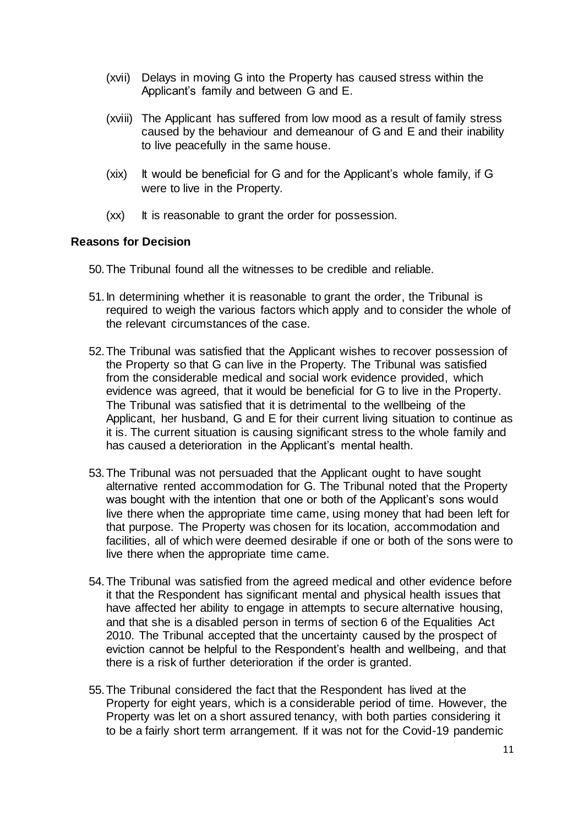- (xvii) Delays in moving G into the Property has caused stress within the Applicant's family and between G and E.
- (xviii) The Applicant has suffered from low mood as a result of family stress caused by the behaviour and demeanour of G and E and their inability to live peacefully in the same house.
- (xix) It would be beneficial for G and for the Applicant's whole family, if G were to live in the Property.
- (xx) It is reasonable to grant the order for possession.

#### **Reasons for Decision**

- 50.The Tribunal found all the witnesses to be credible and reliable.
- 51.In determining whether it is reasonable to grant the order, the Tribunal is required to weigh the various factors which apply and to consider the whole of the relevant circumstances of the case.
- 52.The Tribunal was satisfied that the Applicant wishes to recover possession of the Property so that G can live in the Property. The Tribunal was satisfied from the considerable medical and social work evidence provided, which evidence was agreed, that it would be beneficial for G to live in the Property. The Tribunal was satisfied that it is detrimental to the wellbeing of the Applicant, her husband, G and E for their current living situation to continue as it is. The current situation is causing significant stress to the whole family and has caused a deterioration in the Applicant's mental health.
- 53.The Tribunal was not persuaded that the Applicant ought to have sought alternative rented accommodation for G. The Tribunal noted that the Property was bought with the intention that one or both of the Applicant's sons would live there when the appropriate time came, using money that had been left for that purpose. The Property was chosen for its location, accommodation and facilities, all of which were deemed desirable if one or both of the sons were to live there when the appropriate time came.
- 54.The Tribunal was satisfied from the agreed medical and other evidence before it that the Respondent has significant mental and physical health issues that have affected her ability to engage in attempts to secure alternative housing, and that she is a disabled person in terms of section 6 of the Equalities Act 2010. The Tribunal accepted that the uncertainty caused by the prospect of eviction cannot be helpful to the Respondent's health and wellbeing, and that there is a risk of further deterioration if the order is granted.
- 55.The Tribunal considered the fact that the Respondent has lived at the Property for eight years, which is a considerable period of time. However, the Property was let on a short assured tenancy, with both parties considering it to be a fairly short term arrangement. If it was not for the Covid-19 pandemic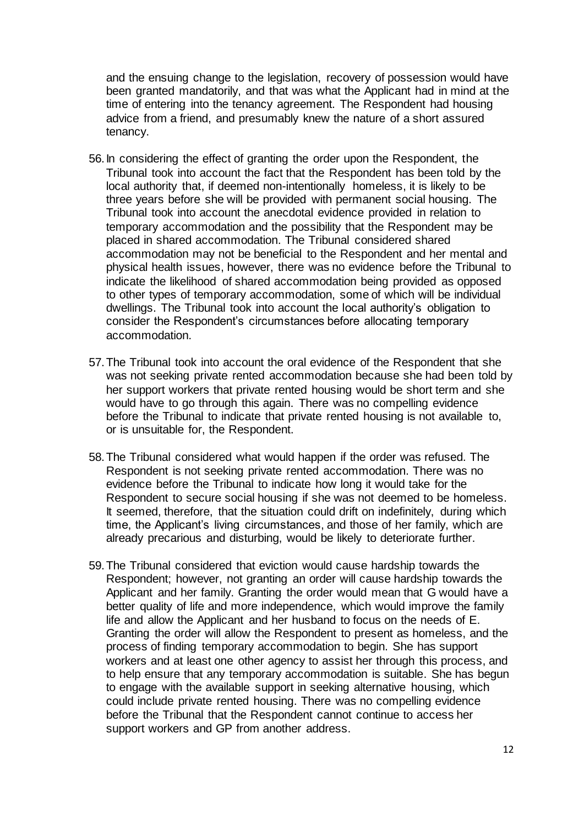and the ensuing change to the legislation, recovery of possession would have been granted mandatorily, and that was what the Applicant had in mind at the time of entering into the tenancy agreement. The Respondent had housing advice from a friend, and presumably knew the nature of a short assured tenancy.

- 56.In considering the effect of granting the order upon the Respondent, the Tribunal took into account the fact that the Respondent has been told by the local authority that, if deemed non-intentionally homeless, it is likely to be three years before she will be provided with permanent social housing. The Tribunal took into account the anecdotal evidence provided in relation to temporary accommodation and the possibility that the Respondent may be placed in shared accommodation. The Tribunal considered shared accommodation may not be beneficial to the Respondent and her mental and physical health issues, however, there was no evidence before the Tribunal to indicate the likelihood of shared accommodation being provided as opposed to other types of temporary accommodation, some of which will be individual dwellings. The Tribunal took into account the local authority's obligation to consider the Respondent's circumstances before allocating temporary accommodation.
- 57.The Tribunal took into account the oral evidence of the Respondent that she was not seeking private rented accommodation because she had been told by her support workers that private rented housing would be short term and she would have to go through this again. There was no compelling evidence before the Tribunal to indicate that private rented housing is not available to, or is unsuitable for, the Respondent.
- 58.The Tribunal considered what would happen if the order was refused. The Respondent is not seeking private rented accommodation. There was no evidence before the Tribunal to indicate how long it would take for the Respondent to secure social housing if she was not deemed to be homeless. It seemed, therefore, that the situation could drift on indefinitely, during which time, the Applicant's living circumstances, and those of her family, which are already precarious and disturbing, would be likely to deteriorate further.
- 59.The Tribunal considered that eviction would cause hardship towards the Respondent; however, not granting an order will cause hardship towards the Applicant and her family. Granting the order would mean that G would have a better quality of life and more independence, which would improve the family life and allow the Applicant and her husband to focus on the needs of E. Granting the order will allow the Respondent to present as homeless, and the process of finding temporary accommodation to begin. She has support workers and at least one other agency to assist her through this process, and to help ensure that any temporary accommodation is suitable. She has begun to engage with the available support in seeking alternative housing, which could include private rented housing. There was no compelling evidence before the Tribunal that the Respondent cannot continue to access her support workers and GP from another address.